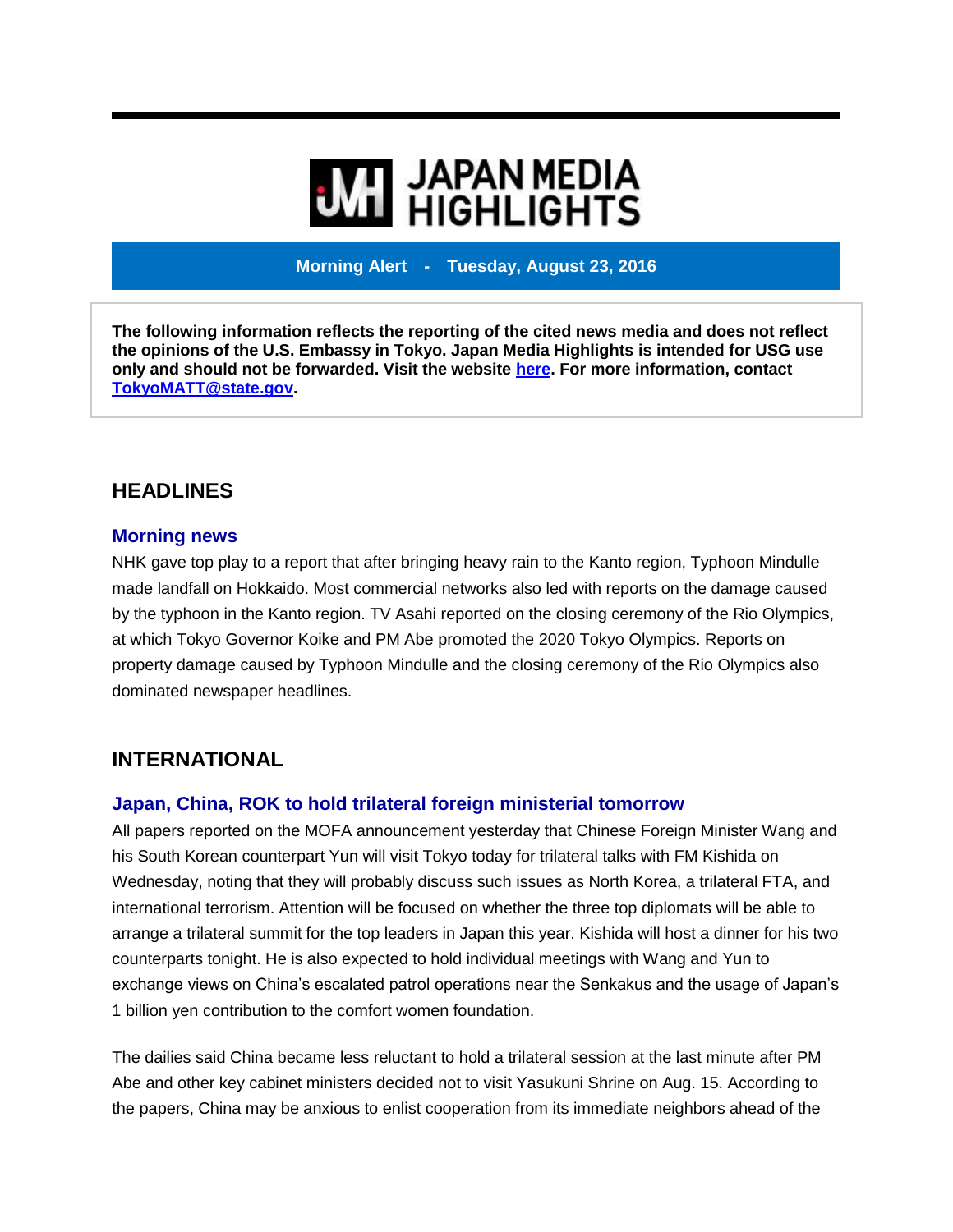# **WE HIGHLIGHTS**

**Morning Alert - Tuesday, August 23, 2016**

**The following information reflects the reporting of the cited news media and does not reflect the opinions of the U.S. Embassy in Tokyo. Japan Media Highlights is intended for USG use only and should not be forwarded. Visit the website [here.](https://jmh.usembassy.gov/) For more information, contact [TokyoMATT@state.gov.](mailto:TokyoMATT@state.gov)**

# **HEADLINES**

#### **Morning news**

NHK gave top play to a report that after bringing heavy rain to the Kanto region, Typhoon Mindulle made landfall on Hokkaido. Most commercial networks also led with reports on the damage caused by the typhoon in the Kanto region. TV Asahi reported on the closing ceremony of the Rio Olympics, at which Tokyo Governor Koike and PM Abe promoted the 2020 Tokyo Olympics. Reports on property damage caused by Typhoon Mindulle and the closing ceremony of the Rio Olympics also dominated newspaper headlines.

### **INTERNATIONAL**

#### **Japan, China, ROK to hold trilateral foreign ministerial tomorrow**

All papers reported on the MOFA announcement yesterday that Chinese Foreign Minister Wang and his South Korean counterpart Yun will visit Tokyo today for trilateral talks with FM Kishida on Wednesday, noting that they will probably discuss such issues as North Korea, a trilateral FTA, and international terrorism. Attention will be focused on whether the three top diplomats will be able to arrange a trilateral summit for the top leaders in Japan this year. Kishida will host a dinner for his two counterparts tonight. He is also expected to hold individual meetings with Wang and Yun to exchange views on China's escalated patrol operations near the Senkakus and the usage of Japan's 1 billion yen contribution to the comfort women foundation.

The dailies said China became less reluctant to hold a trilateral session at the last minute after PM Abe and other key cabinet ministers decided not to visit Yasukuni Shrine on Aug. 15. According to the papers, China may be anxious to enlist cooperation from its immediate neighbors ahead of the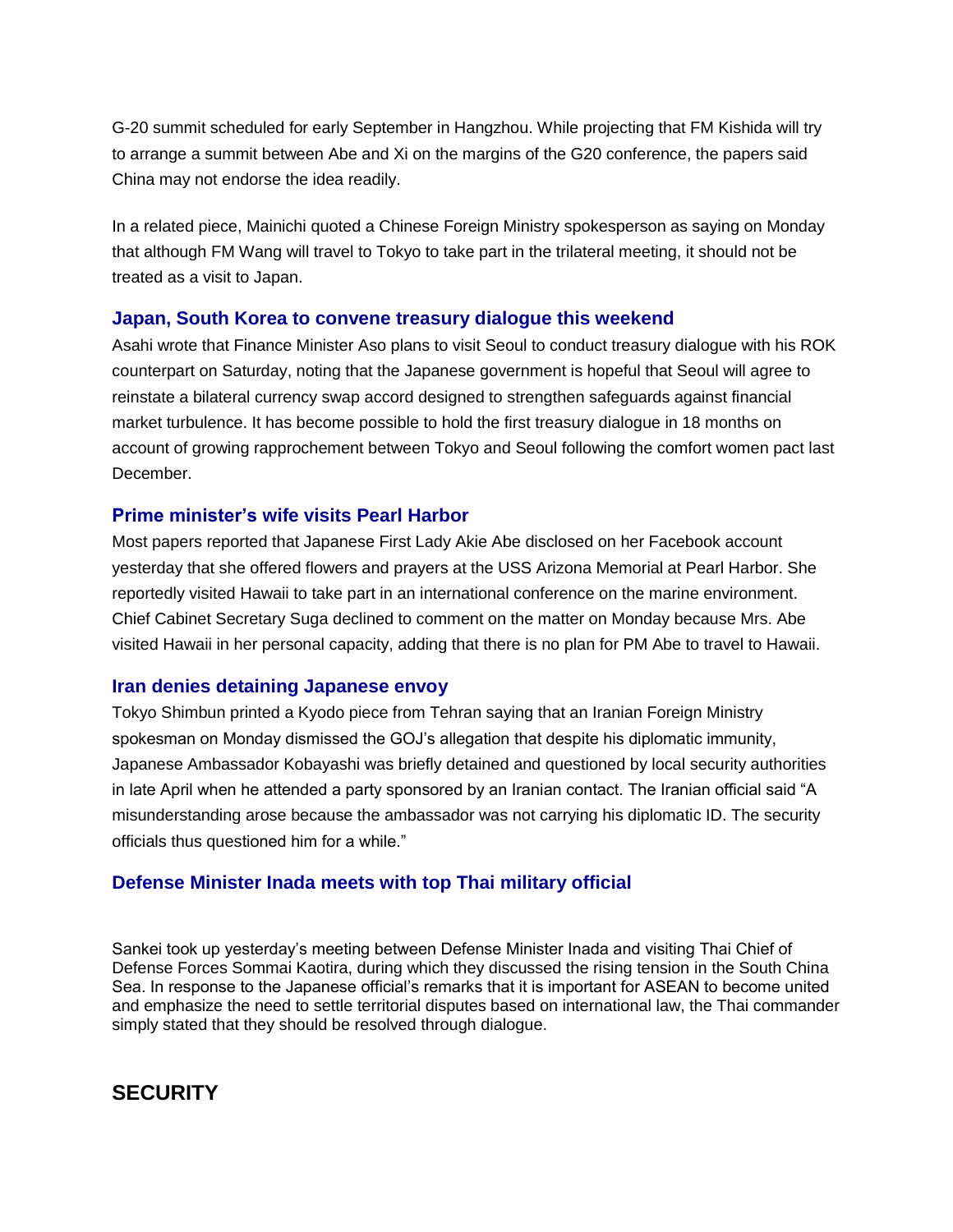G-20 summit scheduled for early September in Hangzhou. While projecting that FM Kishida will try to arrange a summit between Abe and Xi on the margins of the G20 conference, the papers said China may not endorse the idea readily.

In a related piece, Mainichi quoted a Chinese Foreign Ministry spokesperson as saying on Monday that although FM Wang will travel to Tokyo to take part in the trilateral meeting, it should not be treated as a visit to Japan.

#### **Japan, South Korea to convene treasury dialogue this weekend**

Asahi wrote that Finance Minister Aso plans to visit Seoul to conduct treasury dialogue with his ROK counterpart on Saturday, noting that the Japanese government is hopeful that Seoul will agree to reinstate a bilateral currency swap accord designed to strengthen safeguards against financial market turbulence. It has become possible to hold the first treasury dialogue in 18 months on account of growing rapprochement between Tokyo and Seoul following the comfort women pact last December.

#### **Prime minister's wife visits Pearl Harbor**

Most papers reported that Japanese First Lady Akie Abe disclosed on her Facebook account yesterday that she offered flowers and prayers at the USS Arizona Memorial at Pearl Harbor. She reportedly visited Hawaii to take part in an international conference on the marine environment. Chief Cabinet Secretary Suga declined to comment on the matter on Monday because Mrs. Abe visited Hawaii in her personal capacity, adding that there is no plan for PM Abe to travel to Hawaii.

#### **Iran denies detaining Japanese envoy**

Tokyo Shimbun printed a Kyodo piece from Tehran saying that an Iranian Foreign Ministry spokesman on Monday dismissed the GOJ's allegation that despite his diplomatic immunity, Japanese Ambassador Kobayashi was briefly detained and questioned by local security authorities in late April when he attended a party sponsored by an Iranian contact. The Iranian official said "A misunderstanding arose because the ambassador was not carrying his diplomatic ID. The security officials thus questioned him for a while."

#### **Defense Minister Inada meets with top Thai military official**

Sankei took up yesterday's meeting between Defense Minister Inada and visiting Thai Chief of Defense Forces Sommai Kaotira, during which they discussed the rising tension in the South China Sea. In response to the Japanese official's remarks that it is important for ASEAN to become united and emphasize the need to settle territorial disputes based on international law, the Thai commander simply stated that they should be resolved through dialogue.

# **SECURITY**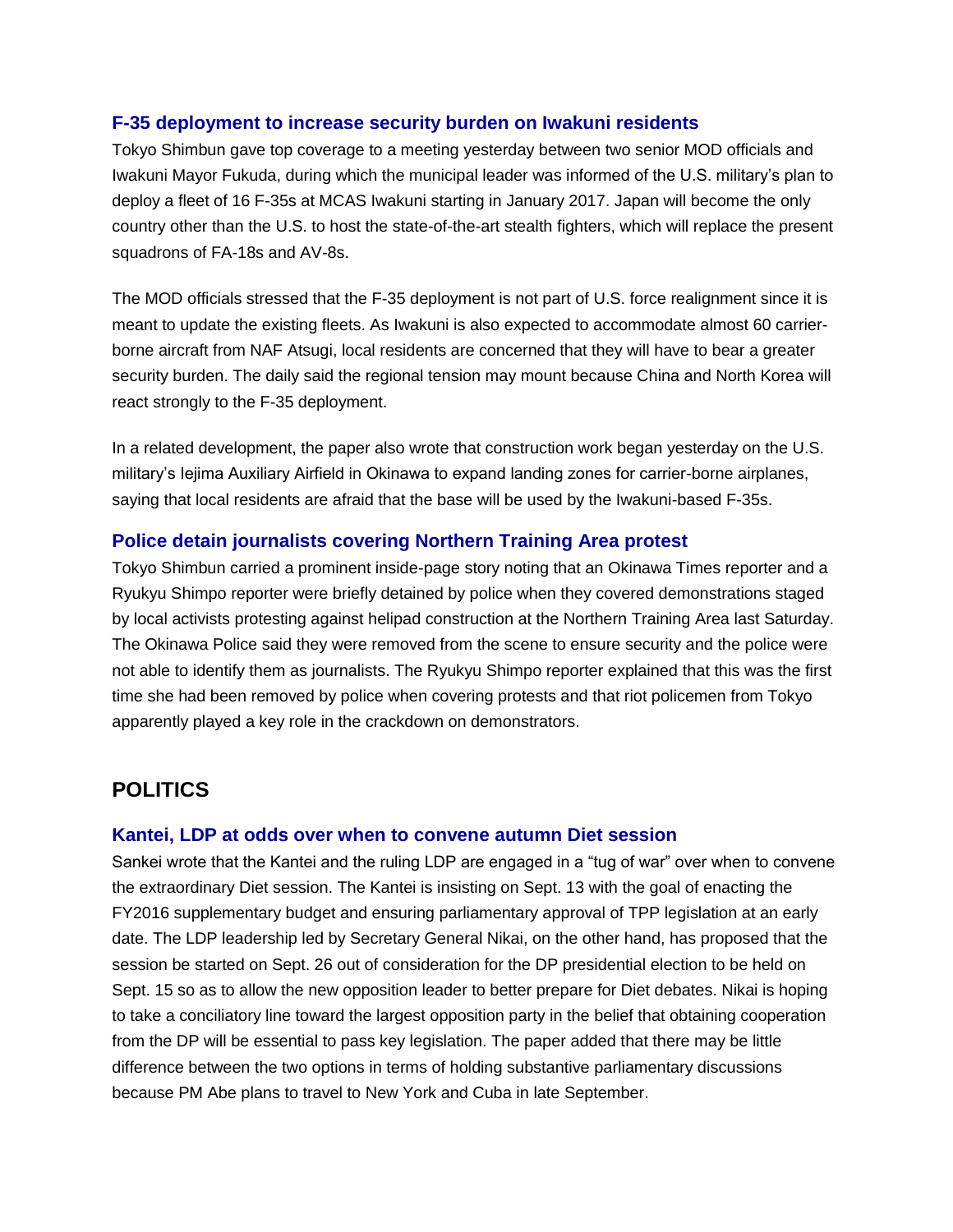#### **F-35 deployment to increase security burden on Iwakuni residents**

Tokyo Shimbun gave top coverage to a meeting yesterday between two senior MOD officials and Iwakuni Mayor Fukuda, during which the municipal leader was informed of the U.S. military's plan to deploy a fleet of 16 F-35s at MCAS Iwakuni starting in January 2017. Japan will become the only country other than the U.S. to host the state-of-the-art stealth fighters, which will replace the present squadrons of FA-18s and AV-8s.

The MOD officials stressed that the F-35 deployment is not part of U.S. force realignment since it is meant to update the existing fleets. As Iwakuni is also expected to accommodate almost 60 carrierborne aircraft from NAF Atsugi, local residents are concerned that they will have to bear a greater security burden. The daily said the regional tension may mount because China and North Korea will react strongly to the F-35 deployment.

In a related development, the paper also wrote that construction work began yesterday on the U.S. military's Iejima Auxiliary Airfield in Okinawa to expand landing zones for carrier-borne airplanes, saying that local residents are afraid that the base will be used by the Iwakuni-based F-35s.

#### **Police detain journalists covering Northern Training Area protest**

Tokyo Shimbun carried a prominent inside-page story noting that an Okinawa Times reporter and a Ryukyu Shimpo reporter were briefly detained by police when they covered demonstrations staged by local activists protesting against helipad construction at the Northern Training Area last Saturday. The Okinawa Police said they were removed from the scene to ensure security and the police were not able to identify them as journalists. The Ryukyu Shimpo reporter explained that this was the first time she had been removed by police when covering protests and that riot policemen from Tokyo apparently played a key role in the crackdown on demonstrators.

# **POLITICS**

#### **Kantei, LDP at odds over when to convene autumn Diet session**

Sankei wrote that the Kantei and the ruling LDP are engaged in a "tug of war" over when to convene the extraordinary Diet session. The Kantei is insisting on Sept. 13 with the goal of enacting the FY2016 supplementary budget and ensuring parliamentary approval of TPP legislation at an early date. The LDP leadership led by Secretary General Nikai, on the other hand, has proposed that the session be started on Sept. 26 out of consideration for the DP presidential election to be held on Sept. 15 so as to allow the new opposition leader to better prepare for Diet debates. Nikai is hoping to take a conciliatory line toward the largest opposition party in the belief that obtaining cooperation from the DP will be essential to pass key legislation. The paper added that there may be little difference between the two options in terms of holding substantive parliamentary discussions because PM Abe plans to travel to New York and Cuba in late September.